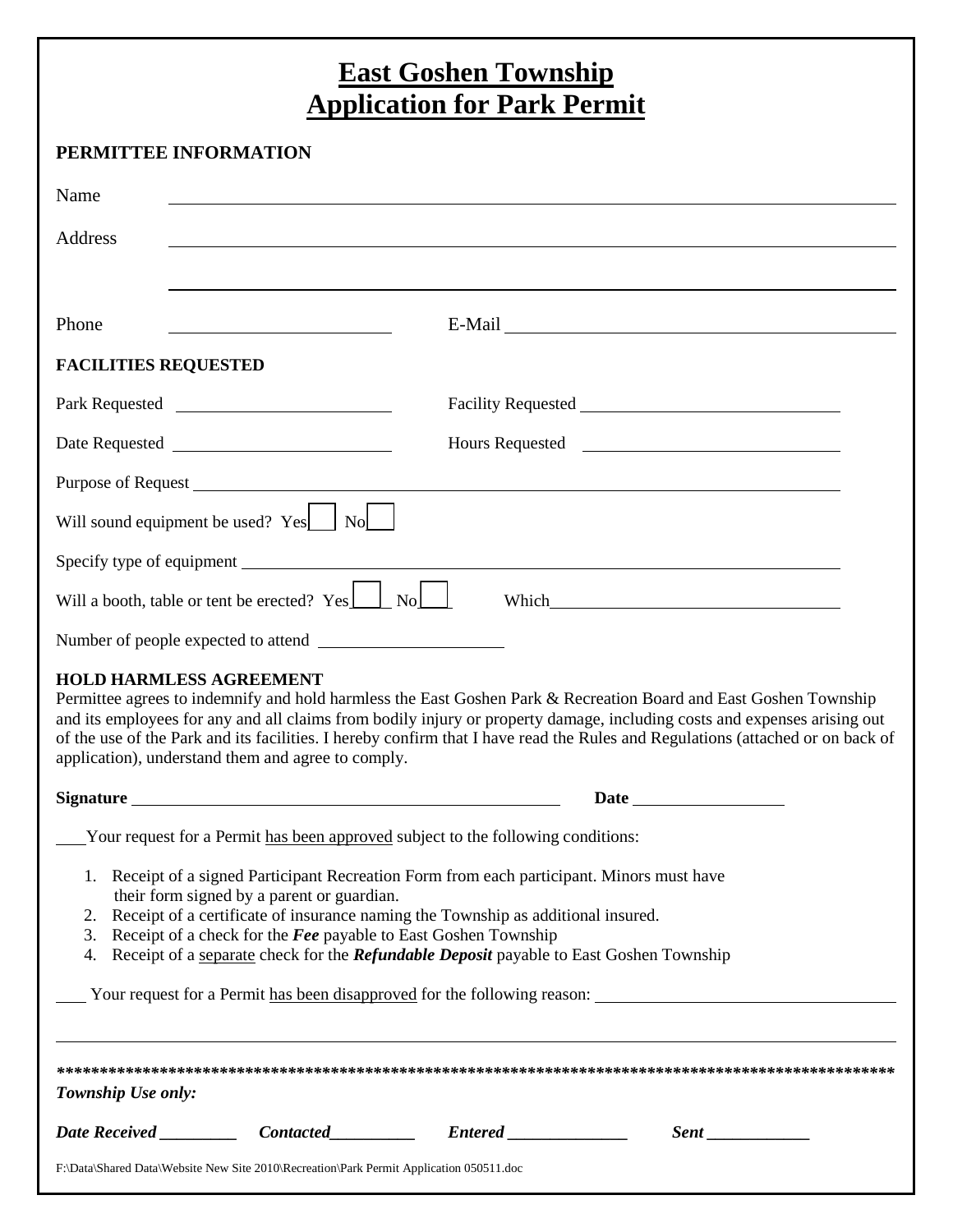# **East Goshen Township<br>Application for Park Permit**

## PERMITTEE INFORMATION

| Name                                                                                                                           |                                                                                                                                                                                                                                                                                                                                                     |                                                                                                                                                                                                                                                                                                                                                                                |  |
|--------------------------------------------------------------------------------------------------------------------------------|-----------------------------------------------------------------------------------------------------------------------------------------------------------------------------------------------------------------------------------------------------------------------------------------------------------------------------------------------------|--------------------------------------------------------------------------------------------------------------------------------------------------------------------------------------------------------------------------------------------------------------------------------------------------------------------------------------------------------------------------------|--|
| Address                                                                                                                        |                                                                                                                                                                                                                                                                                                                                                     |                                                                                                                                                                                                                                                                                                                                                                                |  |
|                                                                                                                                |                                                                                                                                                                                                                                                                                                                                                     |                                                                                                                                                                                                                                                                                                                                                                                |  |
| Phone<br><u> 1989 - Johann Barbara, martin amerikan basar dan basa dan basa dan basa dalam basa dalam basa dalam basa dala</u> |                                                                                                                                                                                                                                                                                                                                                     | E-Mail Land and the contract of the contract of the contract of the contract of the contract of the contract of the contract of the contract of the contract of the contract of the contract of the contract of the contract o                                                                                                                                                 |  |
| <b>FACILITIES REQUESTED</b>                                                                                                    |                                                                                                                                                                                                                                                                                                                                                     |                                                                                                                                                                                                                                                                                                                                                                                |  |
|                                                                                                                                |                                                                                                                                                                                                                                                                                                                                                     |                                                                                                                                                                                                                                                                                                                                                                                |  |
|                                                                                                                                |                                                                                                                                                                                                                                                                                                                                                     |                                                                                                                                                                                                                                                                                                                                                                                |  |
|                                                                                                                                |                                                                                                                                                                                                                                                                                                                                                     |                                                                                                                                                                                                                                                                                                                                                                                |  |
| Will sound equipment be used? Yes No                                                                                           |                                                                                                                                                                                                                                                                                                                                                     |                                                                                                                                                                                                                                                                                                                                                                                |  |
| Specify type of equipment                                                                                                      |                                                                                                                                                                                                                                                                                                                                                     |                                                                                                                                                                                                                                                                                                                                                                                |  |
| Will a booth, table or tent be erected? $Yes \_ No \_ No$                                                                      |                                                                                                                                                                                                                                                                                                                                                     |                                                                                                                                                                                                                                                                                                                                                                                |  |
|                                                                                                                                |                                                                                                                                                                                                                                                                                                                                                     |                                                                                                                                                                                                                                                                                                                                                                                |  |
| <b>HOLD HARMLESS AGREEMENT</b><br>application), understand them and agree to comply.                                           |                                                                                                                                                                                                                                                                                                                                                     | Permittee agrees to indemnify and hold harmless the East Goshen Park & Recreation Board and East Goshen Township<br>and its employees for any and all claims from bodily injury or property damage, including costs and expenses arising out<br>of the use of the Park and its facilities. I hereby confirm that I have read the Rules and Regulations (attached or on back of |  |
|                                                                                                                                |                                                                                                                                                                                                                                                                                                                                                     |                                                                                                                                                                                                                                                                                                                                                                                |  |
|                                                                                                                                | Your request for a Permit has been approved subject to the following conditions:                                                                                                                                                                                                                                                                    |                                                                                                                                                                                                                                                                                                                                                                                |  |
| their form signed by a parent or guardian.                                                                                     | 1. Receipt of a signed Participant Recreation Form from each participant. Minors must have<br>2. Receipt of a certificate of insurance naming the Township as additional insured.<br>3. Receipt of a check for the Fee payable to East Goshen Township<br>4. Receipt of a separate check for the Refundable Deposit payable to East Goshen Township |                                                                                                                                                                                                                                                                                                                                                                                |  |
|                                                                                                                                |                                                                                                                                                                                                                                                                                                                                                     | Your request for a Permit has been disapproved for the following reason: Values 1998 1999                                                                                                                                                                                                                                                                                      |  |
| Township Use only:                                                                                                             |                                                                                                                                                                                                                                                                                                                                                     |                                                                                                                                                                                                                                                                                                                                                                                |  |
|                                                                                                                                |                                                                                                                                                                                                                                                                                                                                                     |                                                                                                                                                                                                                                                                                                                                                                                |  |

F:\Data\Shared Data\Website New Site 2010\Recreation\Park Permit Application 050511.doc